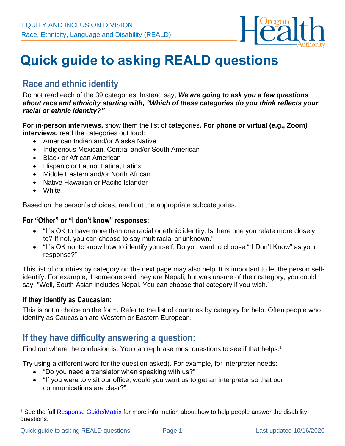

# **Quick guide to asking REALD questions**

### **Race and ethnic identity**

Do not read each of the 39 categories. Instead say, *We are going to ask you a few questions about race and ethnicity starting with, "Which of these categories do you think reflects your racial or ethnic identity?"*

**For in-person interviews,** show them the list of categories**. For phone or virtual (e.g., Zoom) interviews,** read the categories out loud:

- American Indian and/or Alaska Native
- Indigenous Mexican, Central and/or South American
- Black or African American
- Hispanic or Latino, Latina, Latinx
- Middle Eastern and/or North African
- Native Hawaiian or Pacific Islander
- White

Based on the person's choices, read out the appropriate subcategories.

#### **For "Other" or "I don't know" responses:**

- "It's OK to have more than one racial or ethnic identity. Is there one you relate more closely to? If not, you can choose to say multiracial or unknown."
- "It's OK not to know how to identify yourself. Do you want to choose ""I Don't Know" as your response?"

This list of countries by category on the next page may also help. It is important to let the person selfidentify. For example, if someone said they are Nepali, but was unsure of their category, you could say, "Well, South Asian includes Nepal. You can choose that category if you wish."

#### **If they identify as Caucasian:**

This is not a choice on the form. Refer to the list of countries by category for help. Often people who identify as Caucasian are Western or Eastern European.

### **If they have difficulty answering a question:**

Find out where the confusion is. You can rephrase most questions to see if that helps.<sup>1</sup>

Try using a different word for the question asked). For example, for interpreter needs:

- "Do you need a translator when speaking with us?"
- "If you were to visit our office, would you want us to get an interpreter so that our communications are clear?"

<sup>&</sup>lt;sup>1</sup> See the full [Response Guide/Matrix](https://sharedsystems.dhsoha.state.or.us/DHSForms/Served/le7721b.pdf?CFGRIDKEY=LE%207721B%2c7721%2cREALD%20Implementation%20Guide%202018-11-28%2cle7721B.pdf%2c%2c%2c%2c%2c%2c%2c%2c%2c%2c/DHSForms/Served/%2c%2c/DHSForms/Served/) for more information about how to help people answer the disability questions.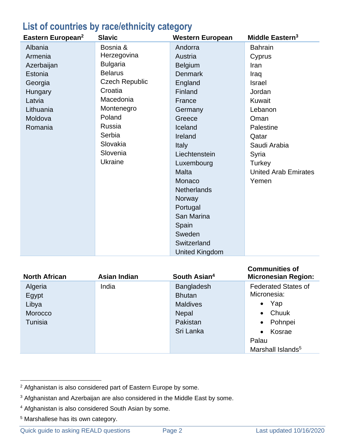## **List of countries by race/ethnicity category**

| Eastern European <sup>2</sup> | <b>Slavic</b>         | <b>Western European</b> | Middle Eastern <sup>3</sup> |
|-------------------------------|-----------------------|-------------------------|-----------------------------|
| Albania                       | Bosnia &              | Andorra                 | <b>Bahrain</b>              |
| Armenia                       | Herzegovina           | Austria                 | Cyprus                      |
| Azerbaijan                    | <b>Bulgaria</b>       | <b>Belgium</b>          | Iran                        |
| Estonia                       | <b>Belarus</b>        | <b>Denmark</b>          | Iraq                        |
| Georgia                       | <b>Czech Republic</b> | England                 | <b>Israel</b>               |
| Hungary                       | Croatia               | Finland                 | Jordan                      |
| Latvia                        | Macedonia             | France                  | Kuwait                      |
| Lithuania                     | Montenegro            | Germany                 | Lebanon                     |
| Moldova                       | Poland                | Greece                  | Oman                        |
| Romania                       | Russia                | Iceland                 | Palestine                   |
|                               | Serbia                | Ireland                 | Qatar                       |
|                               | Slovakia              | <b>Italy</b>            | Saudi Arabia                |
|                               | Slovenia              | Liechtenstein           | Syria                       |
|                               | Ukraine               | Luxembourg              | Turkey                      |
|                               |                       | <b>Malta</b>            | <b>United Arab Emirates</b> |
|                               |                       | Monaco                  | Yemen                       |
|                               |                       | <b>Netherlands</b>      |                             |
|                               |                       | Norway                  |                             |
|                               |                       | Portugal                |                             |
|                               |                       | San Marina              |                             |
|                               |                       | Spain                   |                             |
|                               |                       | Sweden                  |                             |
|                               |                       | Switzerland             |                             |
|                               |                       | <b>United Kingdom</b>   |                             |

| <b>North African</b>                            | Asian Indian | South Asian <sup>4</sup>                                                                       | <b>Communities of</b><br><b>Micronesian Region:</b>                                                                                                                          |
|-------------------------------------------------|--------------|------------------------------------------------------------------------------------------------|------------------------------------------------------------------------------------------------------------------------------------------------------------------------------|
| Algeria<br>Egypt<br>Libya<br>Morocco<br>Tunisia | India        | <b>Bangladesh</b><br><b>Bhutan</b><br><b>Maldives</b><br><b>Nepal</b><br>Pakistan<br>Sri Lanka | <b>Federated States of</b><br>Micronesia:<br>Yap<br>$\bullet$<br>Chuuk<br>$\bullet$<br>Pohnpei<br>$\bullet$<br>Kosrae<br>$\bullet$<br>Palau<br>Marshall Islands <sup>5</sup> |

<sup>2</sup> Afghanistan is also considered part of Eastern Europe by some.

<sup>3</sup> Afghanistan and Azerbaijan are also considered in the Middle East by some.

<sup>4</sup> Afghanistan is also considered South Asian by some.

<sup>5</sup> Marshallese has its own category.

Quick guide to asking REALD questions Page 2 Last updated 10/16/2020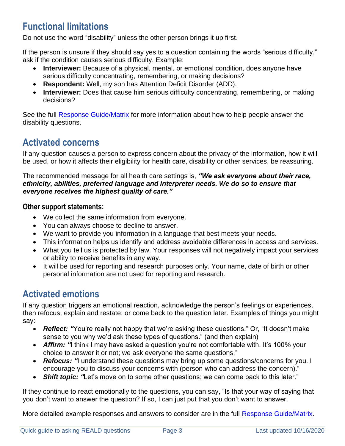### **Functional limitations**

Do not use the word "disability" unless the other person brings it up first.

If the person is unsure if they should say yes to a question containing the words "serious difficulty," ask if the condition causes serious difficulty. Example:

- **Interviewer:** Because of a physical, mental, or emotional condition, does anyone have serious difficulty concentrating, remembering, or making decisions?
- **Respondent:** Well, my son has Attention Deficit Disorder (ADD).
- **Interviewer:** Does that cause him serious difficulty concentrating, remembering, or making decisions?

See the full [Response Guide/Matrix](https://sharedsystems.dhsoha.state.or.us/DHSForms/Served/le7721b.pdf?CFGRIDKEY=LE%207721B%2c7721%2cREALD%20Implementation%20Guide%202018-11-28%2cle7721B.pdf%2c%2c%2c%2c%2c%2c%2c%2c%2c%2c/DHSForms/Served/%2c%2c/DHSForms/Served/) for more information about how to help people answer the disability questions.

# **Activated concerns**

If any question causes a person to express concern about the privacy of the information, how it will be used, or how it affects their eligibility for health care, disability or other services, be reassuring.

The recommended message for all health care settings is, *"We ask everyone about their race, ethnicity, abilities, preferred language and interpreter needs. We do so to ensure that everyone receives the highest quality of care."* 

#### **Other support statements:**

- We collect the same information from everyone.
- You can always choose to decline to answer.
- We want to provide you information in a language that best meets your needs.
- This information helps us identify and address avoidable differences in access and services.
- What you tell us is protected by law. Your responses will not negatively impact your services or ability to receive benefits in any way.
- It will be used for reporting and research purposes only. Your name, date of birth or other personal information are not used for reporting and research.

# **Activated emotions**

If any question triggers an emotional reaction, acknowledge the person's feelings or experiences, then refocus, explain and restate; or come back to the question later. Examples of things you might say:

- *Reflect: "You're really not happy that we're asking these questions." Or, "It doesn't make* sense to you why we'd ask these types of questions." (and then explain)
- **Affirm:** "I think I may have asked a question you're not comfortable with. It's 100% your choice to answer it or not; we ask everyone the same questions."
- *Refocus:* "I understand these questions may bring up some questions/concerns for you. I encourage you to discuss your concerns with (person who can address the concern)."
- *Shift topic: "Let's move on to some other questions; we can come back to this later."*

If they continue to react emotionally to the questions, you can say, "Is that your way of saying that you don't want to answer the question? If so, I can just put that you don't want to answer.

More detailed example responses and answers to consider are in the full [Response Guide/Matrix.](https://sharedsystems.dhsoha.state.or.us/DHSForms/Served/le7721b.pdf)